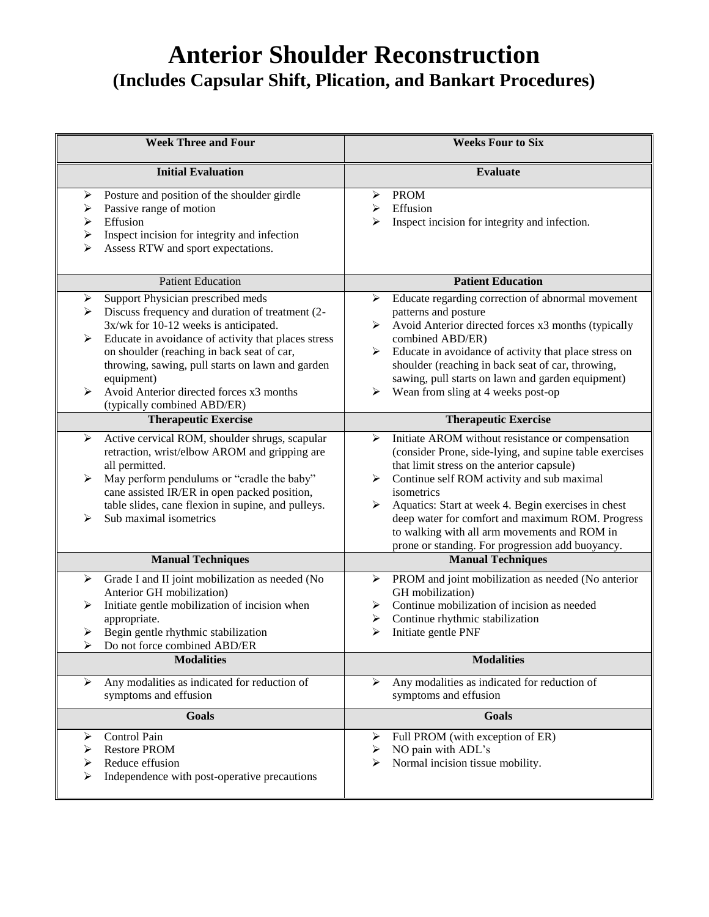## **Anterior Shoulder Reconstruction (Includes Capsular Shift, Plication, and Bankart Procedures)**

| <b>Week Three and Four</b>                                                                                                                                                                                                                                                                                                                                                                          | <b>Weeks Four to Six</b>                                                                                                                                                                                                                                                                                                                                                                                                                            |
|-----------------------------------------------------------------------------------------------------------------------------------------------------------------------------------------------------------------------------------------------------------------------------------------------------------------------------------------------------------------------------------------------------|-----------------------------------------------------------------------------------------------------------------------------------------------------------------------------------------------------------------------------------------------------------------------------------------------------------------------------------------------------------------------------------------------------------------------------------------------------|
| <b>Initial Evaluation</b>                                                                                                                                                                                                                                                                                                                                                                           | <b>Evaluate</b>                                                                                                                                                                                                                                                                                                                                                                                                                                     |
| Posture and position of the shoulder girdle<br>➤<br>Passive range of motion<br>➤<br>Effusion<br>➤<br>Inspect incision for integrity and infection<br>➤<br>Assess RTW and sport expectations.<br>⋗                                                                                                                                                                                                   | <b>PROM</b><br>➤<br>Effusion<br>➤<br>Inspect incision for integrity and infection.<br>⋗                                                                                                                                                                                                                                                                                                                                                             |
| <b>Patient Education</b>                                                                                                                                                                                                                                                                                                                                                                            | <b>Patient Education</b>                                                                                                                                                                                                                                                                                                                                                                                                                            |
| Support Physician prescribed meds<br>➤<br>Discuss frequency and duration of treatment (2-<br>➤<br>3x/wk for 10-12 weeks is anticipated.<br>Educate in avoidance of activity that places stress<br>➤<br>on shoulder (reaching in back seat of car,<br>throwing, sawing, pull starts on lawn and garden<br>equipment)<br>Avoid Anterior directed forces x3 months<br>➤<br>(typically combined ABD/ER) | Educate regarding correction of abnormal movement<br>➤<br>patterns and posture<br>Avoid Anterior directed forces x3 months (typically<br>≻<br>combined ABD/ER)<br>Educate in avoidance of activity that place stress on<br>≻<br>shoulder (reaching in back seat of car, throwing,<br>sawing, pull starts on lawn and garden equipment)<br>Wean from sling at 4 weeks post-op<br>➤                                                                   |
| <b>Therapeutic Exercise</b>                                                                                                                                                                                                                                                                                                                                                                         | <b>Therapeutic Exercise</b>                                                                                                                                                                                                                                                                                                                                                                                                                         |
| Active cervical ROM, shoulder shrugs, scapular<br>➤<br>retraction, wrist/elbow AROM and gripping are<br>all permitted.<br>May perform pendulums or "cradle the baby"<br>➤<br>cane assisted IR/ER in open packed position,<br>table slides, cane flexion in supine, and pulleys.<br>Sub maximal isometrics<br>⋗                                                                                      | Initiate AROM without resistance or compensation<br>➤<br>(consider Prone, side-lying, and supine table exercises<br>that limit stress on the anterior capsule)<br>Continue self ROM activity and sub maximal<br>➤<br>isometrics<br>≻<br>Aquatics: Start at week 4. Begin exercises in chest<br>deep water for comfort and maximum ROM. Progress<br>to walking with all arm movements and ROM in<br>prone or standing. For progression add buoyancy. |
| <b>Manual Techniques</b>                                                                                                                                                                                                                                                                                                                                                                            | <b>Manual Techniques</b>                                                                                                                                                                                                                                                                                                                                                                                                                            |
| Grade I and II joint mobilization as needed (No<br>➤<br>Anterior GH mobilization)<br>Initiate gentle mobilization of incision when<br>➤<br>appropriate.<br>Begin gentle rhythmic stabilization<br>➤<br>Do not force combined ABD/ER<br>➤                                                                                                                                                            | PROM and joint mobilization as needed (No anterior<br>➤<br>GH mobilization)<br>Continue mobilization of incision as needed<br>➤<br>Continue rhythmic stabilization<br>➤<br>Initiate gentle PNF<br>⋗                                                                                                                                                                                                                                                 |
| <b>Modalities</b>                                                                                                                                                                                                                                                                                                                                                                                   | <b>Modalities</b>                                                                                                                                                                                                                                                                                                                                                                                                                                   |
| Any modalities as indicated for reduction of<br>➤<br>symptoms and effusion                                                                                                                                                                                                                                                                                                                          | Any modalities as indicated for reduction of<br>➤<br>symptoms and effusion                                                                                                                                                                                                                                                                                                                                                                          |
| <b>Goals</b>                                                                                                                                                                                                                                                                                                                                                                                        | Goals                                                                                                                                                                                                                                                                                                                                                                                                                                               |
| Control Pain<br>➤<br><b>Restore PROM</b><br>➤<br>Reduce effusion<br>➤<br>➤<br>Independence with post-operative precautions                                                                                                                                                                                                                                                                          | Full PROM (with exception of ER)<br>➤<br>NO pain with ADL's<br>➤<br>Normal incision tissue mobility.<br>⋗                                                                                                                                                                                                                                                                                                                                           |